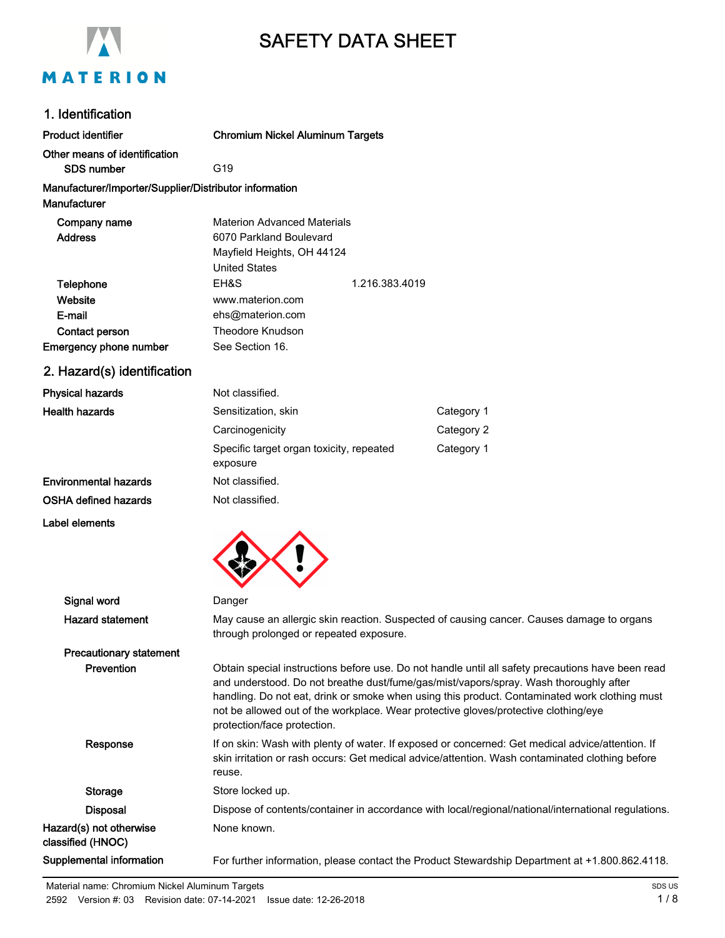

# SAFETY DATA SHEET

### 1. Identification

| <b>Product identifier</b>                              | <b>Chromium Nickel Aluminum Targets</b>              |                                    |            |  |
|--------------------------------------------------------|------------------------------------------------------|------------------------------------|------------|--|
| Other means of identification<br><b>SDS number</b>     | G <sub>19</sub>                                      |                                    |            |  |
| Manufacturer/Importer/Supplier/Distributor information |                                                      |                                    |            |  |
| Manufacturer                                           |                                                      |                                    |            |  |
| Company name                                           |                                                      | <b>Materion Advanced Materials</b> |            |  |
| <b>Address</b>                                         | 6070 Parkland Boulevard                              |                                    |            |  |
|                                                        | Mayfield Heights, OH 44124                           |                                    |            |  |
|                                                        | <b>United States</b>                                 |                                    |            |  |
| Telephone                                              | EH&S                                                 | 1.216.383.4019                     |            |  |
| Website                                                | www.materion.com                                     |                                    |            |  |
| E-mail                                                 | ehs@materion.com                                     |                                    |            |  |
| Contact person                                         | <b>Theodore Knudson</b>                              |                                    |            |  |
| <b>Emergency phone number</b>                          | See Section 16.                                      |                                    |            |  |
| 2. Hazard(s) identification                            |                                                      |                                    |            |  |
| <b>Physical hazards</b>                                | Not classified.                                      |                                    |            |  |
| <b>Health hazards</b>                                  | Sensitization, skin                                  |                                    | Category 1 |  |
|                                                        | Carcinogenicity                                      |                                    | Category 2 |  |
|                                                        | Specific target organ toxicity, repeated<br>exposure |                                    | Category 1 |  |
| <b>Environmental hazards</b>                           | Not classified.                                      |                                    |            |  |
| OSHA defined hazards                                   | Not classified.                                      |                                    |            |  |
| Label elements                                         |                                                      |                                    |            |  |
|                                                        |                                                      |                                    |            |  |
|                                                        |                                                      |                                    |            |  |
|                                                        |                                                      |                                    |            |  |

| Signal word                                  | Danger                                                                                                                                                                                                                                                                                                                                                                                                            |
|----------------------------------------------|-------------------------------------------------------------------------------------------------------------------------------------------------------------------------------------------------------------------------------------------------------------------------------------------------------------------------------------------------------------------------------------------------------------------|
| <b>Hazard statement</b>                      | May cause an allergic skin reaction. Suspected of causing cancer. Causes damage to organs<br>through prolonged or repeated exposure.                                                                                                                                                                                                                                                                              |
| <b>Precautionary statement</b>               |                                                                                                                                                                                                                                                                                                                                                                                                                   |
| <b>Prevention</b>                            | Obtain special instructions before use. Do not handle until all safety precautions have been read<br>and understood. Do not breathe dust/fume/gas/mist/vapors/spray. Wash thoroughly after<br>handling. Do not eat, drink or smoke when using this product. Contaminated work clothing must<br>not be allowed out of the workplace. Wear protective gloves/protective clothing/eye<br>protection/face protection. |
| Response                                     | If on skin: Wash with plenty of water. If exposed or concerned: Get medical advice/attention. If<br>skin irritation or rash occurs: Get medical advice/attention. Wash contaminated clothing before<br>reuse.                                                                                                                                                                                                     |
| Storage                                      | Store locked up.                                                                                                                                                                                                                                                                                                                                                                                                  |
| <b>Disposal</b>                              | Dispose of contents/container in accordance with local/regional/national/international regulations.                                                                                                                                                                                                                                                                                                               |
| Hazard(s) not otherwise<br>classified (HNOC) | None known.                                                                                                                                                                                                                                                                                                                                                                                                       |
| Supplemental information                     | For further information, please contact the Product Stewardship Department at +1.800.862.4118.                                                                                                                                                                                                                                                                                                                    |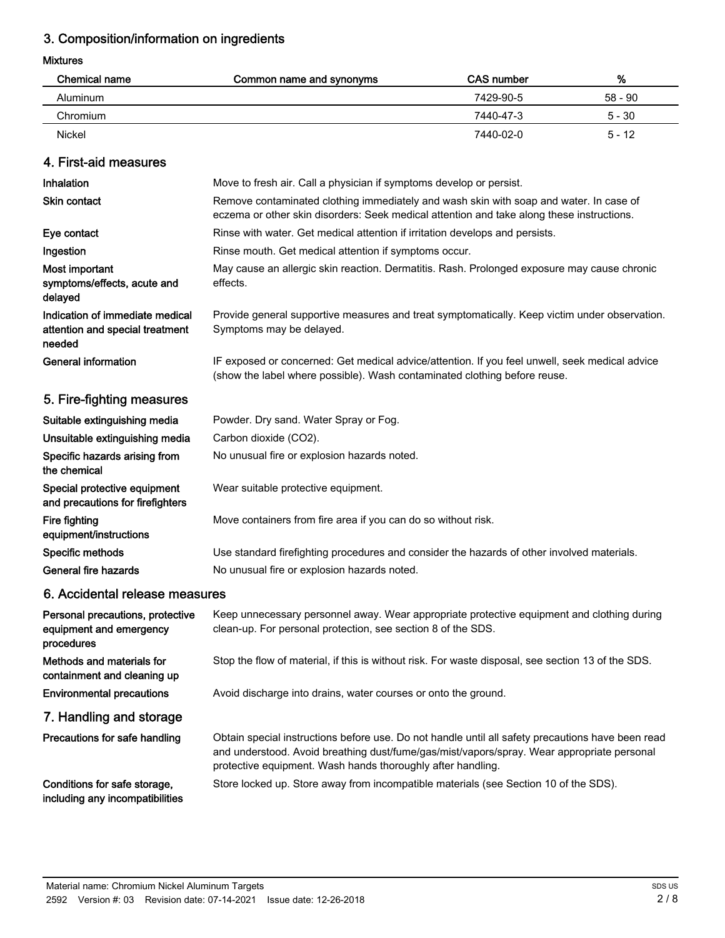# 3. Composition/information on ingredients

### Mixtures

| Chemical name | Common name and synonyms | CAS number | %        |
|---------------|--------------------------|------------|----------|
| Aluminum      |                          | 7429-90-5  | 58 - 90  |
| Chromium      |                          | 7440-47-3  | $5 - 30$ |
| Nickel        |                          | 7440-02-0  | $5 - 12$ |

### 4. First-aid measures

| Inhalation                                                                   | Move to fresh air. Call a physician if symptoms develop or persist.                                                                                                                 |
|------------------------------------------------------------------------------|-------------------------------------------------------------------------------------------------------------------------------------------------------------------------------------|
| <b>Skin contact</b>                                                          | Remove contaminated clothing immediately and wash skin with soap and water. In case of<br>eczema or other skin disorders: Seek medical attention and take along these instructions. |
| Eye contact                                                                  | Rinse with water. Get medical attention if irritation develops and persists.                                                                                                        |
| Ingestion                                                                    | Rinse mouth. Get medical attention if symptoms occur.                                                                                                                               |
| Most important<br>symptoms/effects, acute and<br>delayed                     | May cause an allergic skin reaction. Dermatitis. Rash. Prolonged exposure may cause chronic<br>effects.                                                                             |
| Indication of immediate medical<br>attention and special treatment<br>needed | Provide general supportive measures and treat symptomatically. Keep victim under observation.<br>Symptoms may be delayed.                                                           |
| <b>General information</b>                                                   | IF exposed or concerned: Get medical advice/attention. If you feel unwell, seek medical advice<br>(show the label where possible). Wash contaminated clothing before reuse.         |
| 5. Fire-fighting measures                                                    |                                                                                                                                                                                     |
| Suitable extinguishing media                                                 | Powder. Dry sand. Water Spray or Fog.                                                                                                                                               |
| Unsuitable extinguishing media                                               | Carbon dioxide (CO2).                                                                                                                                                               |
| Specific hazards arising from<br>the chemical                                | No unusual fire or explosion hazards noted.                                                                                                                                         |
| Special protective equipment<br>and precautions for firefighters             | Wear suitable protective equipment.                                                                                                                                                 |
| Fire fighting<br>equipment/instructions                                      | Move containers from fire area if you can do so without risk.                                                                                                                       |
| Specific methods                                                             | Use standard firefighting procedures and consider the hazards of other involved materials.                                                                                          |
| General fire hazards                                                         | No unusual fire or explosion hazards noted.                                                                                                                                         |
|                                                                              |                                                                                                                                                                                     |

### 6. Accidental release measures

| Personal precautions, protective<br>equipment and emergency<br>procedures | Keep unnecessary personnel away. Wear appropriate protective equipment and clothing during<br>clean-up. For personal protection, see section 8 of the SDS.                                                                                                     |
|---------------------------------------------------------------------------|----------------------------------------------------------------------------------------------------------------------------------------------------------------------------------------------------------------------------------------------------------------|
| Methods and materials for<br>containment and cleaning up                  | Stop the flow of material, if this is without risk. For waste disposal, see section 13 of the SDS.                                                                                                                                                             |
| <b>Environmental precautions</b>                                          | Avoid discharge into drains, water courses or onto the ground.                                                                                                                                                                                                 |
| 7. Handling and storage                                                   |                                                                                                                                                                                                                                                                |
| Precautions for safe handling                                             | Obtain special instructions before use. Do not handle until all safety precautions have been read<br>and understood. Avoid breathing dust/fume/gas/mist/vapors/spray. Wear appropriate personal<br>protective equipment. Wash hands thoroughly after handling. |
| Conditions for safe storage,<br>including any incompatibilities           | Store locked up. Store away from incompatible materials (see Section 10 of the SDS).                                                                                                                                                                           |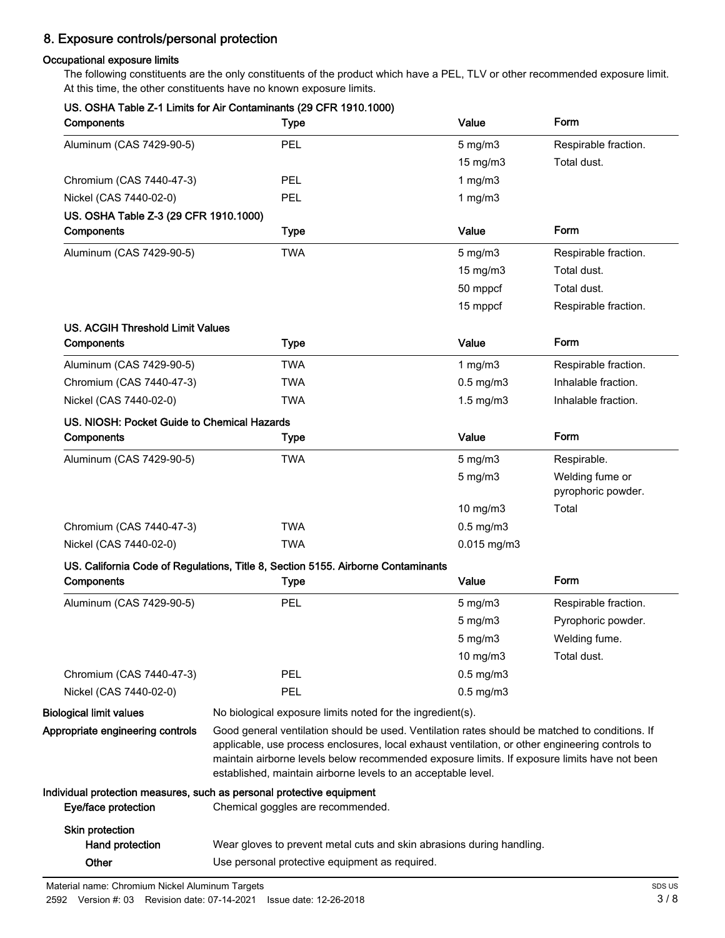# 8. Exposure controls/personal protection

### Occupational exposure limits

The following constituents are the only constituents of the product which have a PEL, TLV or other recommended exposure limit. At this time, the other constituents have no known exposure limits.

| Components                                  | <b>Type</b>                                                                                                                                                                                                                                                      | Value                | Form                 |  |
|---------------------------------------------|------------------------------------------------------------------------------------------------------------------------------------------------------------------------------------------------------------------------------------------------------------------|----------------------|----------------------|--|
| Aluminum (CAS 7429-90-5)                    | <b>PEL</b>                                                                                                                                                                                                                                                       | $5$ mg/m $3$         | Respirable fraction. |  |
|                                             |                                                                                                                                                                                                                                                                  | $15 \text{ mg/m}$    | Total dust.          |  |
| Chromium (CAS 7440-47-3)                    | <b>PEL</b>                                                                                                                                                                                                                                                       | 1 $mg/m3$            |                      |  |
| Nickel (CAS 7440-02-0)                      | <b>PEL</b>                                                                                                                                                                                                                                                       | 1 $mg/m3$            |                      |  |
| US. OSHA Table Z-3 (29 CFR 1910.1000)       |                                                                                                                                                                                                                                                                  |                      |                      |  |
| Components                                  | <b>Type</b>                                                                                                                                                                                                                                                      | Value                | Form                 |  |
| Aluminum (CAS 7429-90-5)                    | <b>TWA</b>                                                                                                                                                                                                                                                       | $5$ mg/m $3$         | Respirable fraction. |  |
|                                             |                                                                                                                                                                                                                                                                  | 15 mg/m3             | Total dust.          |  |
|                                             |                                                                                                                                                                                                                                                                  | 50 mppcf             | Total dust.          |  |
|                                             |                                                                                                                                                                                                                                                                  | 15 mppcf             | Respirable fraction. |  |
| <b>US. ACGIH Threshold Limit Values</b>     |                                                                                                                                                                                                                                                                  |                      |                      |  |
| Components                                  | <b>Type</b>                                                                                                                                                                                                                                                      | Value                | Form                 |  |
| Aluminum (CAS 7429-90-5)                    | <b>TWA</b>                                                                                                                                                                                                                                                       | 1 mg/m $3$           | Respirable fraction. |  |
| Chromium (CAS 7440-47-3)                    | <b>TWA</b>                                                                                                                                                                                                                                                       | $0.5$ mg/m $3$       | Inhalable fraction.  |  |
| Nickel (CAS 7440-02-0)                      | <b>TWA</b>                                                                                                                                                                                                                                                       | $1.5 \text{ mg/m}$ 3 | Inhalable fraction.  |  |
| US. NIOSH: Pocket Guide to Chemical Hazards |                                                                                                                                                                                                                                                                  |                      |                      |  |
| Components                                  | <b>Type</b>                                                                                                                                                                                                                                                      | Value                | Form                 |  |
| Aluminum (CAS 7429-90-5)                    | <b>TWA</b>                                                                                                                                                                                                                                                       | $5$ mg/m $3$         | Respirable.          |  |
|                                             |                                                                                                                                                                                                                                                                  | $5$ mg/m $3$         | Welding fume or      |  |
|                                             |                                                                                                                                                                                                                                                                  |                      | pyrophoric powder.   |  |
|                                             |                                                                                                                                                                                                                                                                  | 10 mg/m3             | Total                |  |
| Chromium (CAS 7440-47-3)                    | <b>TWA</b>                                                                                                                                                                                                                                                       | $0.5$ mg/m $3$       |                      |  |
| Nickel (CAS 7440-02-0)                      | <b>TWA</b>                                                                                                                                                                                                                                                       | $0.015$ mg/m $3$     |                      |  |
|                                             | US. California Code of Regulations, Title 8, Section 5155. Airborne Contaminants                                                                                                                                                                                 |                      |                      |  |
| Components                                  | <b>Type</b>                                                                                                                                                                                                                                                      | Value                | Form                 |  |
| Aluminum (CAS 7429-90-5)                    | PEL                                                                                                                                                                                                                                                              | $5 \text{ mg/m}$     | Respirable fraction. |  |
|                                             |                                                                                                                                                                                                                                                                  | $5$ mg/m $3$         | Pyrophoric powder.   |  |
|                                             |                                                                                                                                                                                                                                                                  | 5 mg/m3              | Welding fume.        |  |
|                                             |                                                                                                                                                                                                                                                                  | 10 mg/m3             | Total dust.          |  |
| Chromium (CAS 7440-47-3)                    | <b>PEL</b>                                                                                                                                                                                                                                                       | $0.5$ mg/m $3$       |                      |  |
| Nickel (CAS 7440-02-0)                      | <b>PEL</b>                                                                                                                                                                                                                                                       | $0.5$ mg/m $3$       |                      |  |
| <b>Biological limit values</b>              | No biological exposure limits noted for the ingredient(s).                                                                                                                                                                                                       |                      |                      |  |
| Appropriate engineering controls            | Good general ventilation should be used. Ventilation rates should be matched to conditions. If                                                                                                                                                                   |                      |                      |  |
|                                             | applicable, use process enclosures, local exhaust ventilation, or other engineering controls to<br>maintain airborne levels below recommended exposure limits. If exposure limits have not been<br>established, maintain airborne levels to an acceptable level. |                      |                      |  |
| Eye/face protection                         | Individual protection measures, such as personal protective equipment<br>Chemical goggles are recommended.                                                                                                                                                       |                      |                      |  |
| Skin protection                             |                                                                                                                                                                                                                                                                  |                      |                      |  |
| Hand protection                             | Wear gloves to prevent metal cuts and skin abrasions during handling.                                                                                                                                                                                            |                      |                      |  |
| Other                                       | Use personal protective equipment as required.                                                                                                                                                                                                                   |                      |                      |  |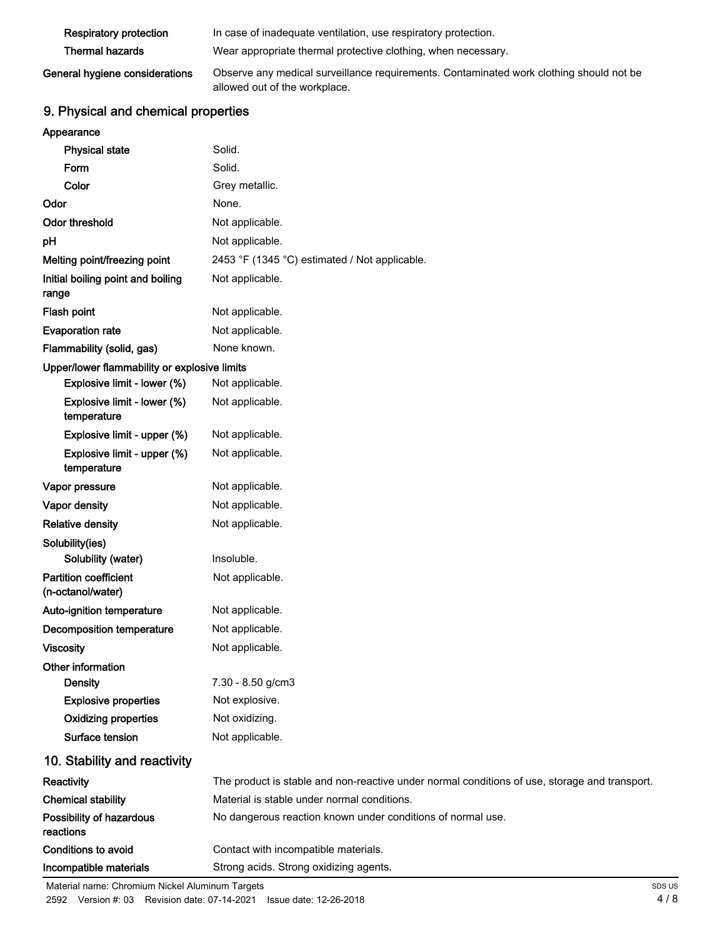| <b>Respiratory protection</b>  | In case of inadequate ventilation, use respiratory protection.                          |
|--------------------------------|-----------------------------------------------------------------------------------------|
| <b>Thermal hazards</b>         | Wear appropriate thermal protective clothing, when necessary.                           |
| General hygiene considerations | Observe any medical surveillance requirements. Contaminated work clothing should not be |

allowed out of the workplace.

# 9. Physical and chemical properties

| Appearance |  |
|------------|--|

| <b>Physical state</b>                             | Solid.                                                                                        |
|---------------------------------------------------|-----------------------------------------------------------------------------------------------|
| Form                                              | Solid.                                                                                        |
| Color                                             | Grey metallic.                                                                                |
| Odor                                              | None.                                                                                         |
| <b>Odor threshold</b>                             | Not applicable.                                                                               |
| pH                                                | Not applicable.                                                                               |
| Melting point/freezing point                      | 2453 °F (1345 °C) estimated / Not applicable.                                                 |
| Initial boiling point and boiling<br>range        | Not applicable.                                                                               |
| Flash point                                       | Not applicable.                                                                               |
| <b>Evaporation rate</b>                           | Not applicable.                                                                               |
| Flammability (solid, gas)                         | None known.                                                                                   |
| Upper/lower flammability or explosive limits      |                                                                                               |
| Explosive limit - lower (%)                       | Not applicable.                                                                               |
| Explosive limit - lower (%)<br>temperature        | Not applicable.                                                                               |
| Explosive limit - upper (%)                       | Not applicable.                                                                               |
| Explosive limit - upper (%)<br>temperature        | Not applicable.                                                                               |
| Vapor pressure                                    | Not applicable.                                                                               |
| Vapor density                                     | Not applicable.                                                                               |
| <b>Relative density</b>                           | Not applicable.                                                                               |
| Solubility(ies)                                   |                                                                                               |
| Solubility (water)                                | Insoluble.                                                                                    |
| <b>Partition coefficient</b><br>(n-octanol/water) | Not applicable.                                                                               |
| Auto-ignition temperature                         | Not applicable.                                                                               |
| <b>Decomposition temperature</b>                  | Not applicable.                                                                               |
| <b>Viscosity</b>                                  | Not applicable.                                                                               |
| Other information                                 |                                                                                               |
| <b>Density</b>                                    | 7.30 - 8.50 g/cm3                                                                             |
| <b>Explosive properties</b>                       | Not explosive.                                                                                |
| <b>Oxidizing properties</b>                       | Not oxidizing.                                                                                |
| Surface tension                                   | Not applicable.                                                                               |
| 10. Stability and reactivity                      |                                                                                               |
| Reactivity                                        | The product is stable and non-reactive under normal conditions of use, storage and transport. |
| <b>Chemical stability</b>                         | Material is stable under normal conditions.                                                   |
| Possibility of hazardous<br>reactions             | No dangerous reaction known under conditions of normal use.                                   |
| <b>Conditions to avoid</b>                        | Contact with incompatible materials.                                                          |
| Incompatible materials                            | Strong acids. Strong oxidizing agents.                                                        |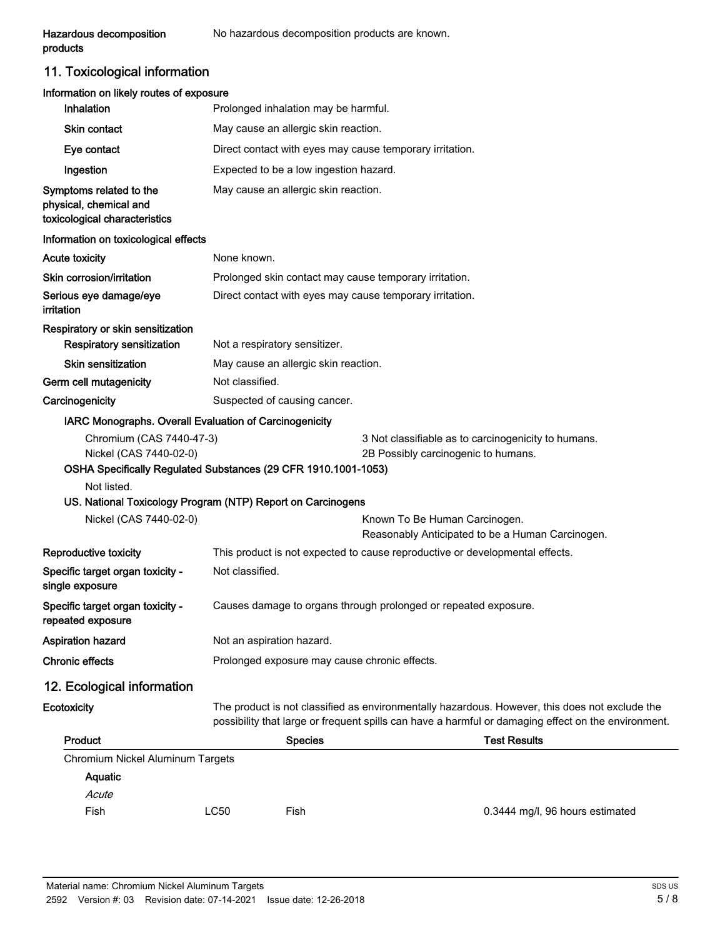11. Toxicological information

| Information on likely routes of exposure<br>Inhalation                                                                                                                                                                       |                                               |                                        |                                                                              |                                                                                                                                                                                                       |
|------------------------------------------------------------------------------------------------------------------------------------------------------------------------------------------------------------------------------|-----------------------------------------------|----------------------------------------|------------------------------------------------------------------------------|-------------------------------------------------------------------------------------------------------------------------------------------------------------------------------------------------------|
| <b>Skin contact</b>                                                                                                                                                                                                          | Prolonged inhalation may be harmful.          |                                        |                                                                              |                                                                                                                                                                                                       |
|                                                                                                                                                                                                                              | May cause an allergic skin reaction.          |                                        |                                                                              |                                                                                                                                                                                                       |
| Eye contact                                                                                                                                                                                                                  |                                               |                                        | Direct contact with eyes may cause temporary irritation.                     |                                                                                                                                                                                                       |
| Ingestion                                                                                                                                                                                                                    |                                               | Expected to be a low ingestion hazard. |                                                                              |                                                                                                                                                                                                       |
| Symptoms related to the<br>physical, chemical and<br>toxicological characteristics                                                                                                                                           |                                               | May cause an allergic skin reaction.   |                                                                              |                                                                                                                                                                                                       |
| Information on toxicological effects                                                                                                                                                                                         |                                               |                                        |                                                                              |                                                                                                                                                                                                       |
| <b>Acute toxicity</b>                                                                                                                                                                                                        | None known.                                   |                                        |                                                                              |                                                                                                                                                                                                       |
| Skin corrosion/irritation                                                                                                                                                                                                    |                                               |                                        | Prolonged skin contact may cause temporary irritation.                       |                                                                                                                                                                                                       |
| Serious eye damage/eye<br>irritation                                                                                                                                                                                         |                                               |                                        | Direct contact with eyes may cause temporary irritation.                     |                                                                                                                                                                                                       |
| Respiratory or skin sensitization<br>Respiratory sensitization                                                                                                                                                               |                                               | Not a respiratory sensitizer.          |                                                                              |                                                                                                                                                                                                       |
| <b>Skin sensitization</b>                                                                                                                                                                                                    |                                               | May cause an allergic skin reaction.   |                                                                              |                                                                                                                                                                                                       |
| Germ cell mutagenicity                                                                                                                                                                                                       | Not classified.                               |                                        |                                                                              |                                                                                                                                                                                                       |
| Carcinogenicity                                                                                                                                                                                                              |                                               | Suspected of causing cancer.           |                                                                              |                                                                                                                                                                                                       |
| Chromium (CAS 7440-47-3)<br>Nickel (CAS 7440-02-0)<br>OSHA Specifically Regulated Substances (29 CFR 1910.1001-1053)<br>Not listed.<br>US. National Toxicology Program (NTP) Report on Carcinogens<br>Nickel (CAS 7440-02-0) |                                               |                                        | 2B Possibly carcinogenic to humans.<br>Known To Be Human Carcinogen.         | 3 Not classifiable as to carcinogenicity to humans.                                                                                                                                                   |
| Reproductive toxicity                                                                                                                                                                                                        |                                               |                                        | This product is not expected to cause reproductive or developmental effects. | Reasonably Anticipated to be a Human Carcinogen.                                                                                                                                                      |
| Specific target organ toxicity -<br>single exposure                                                                                                                                                                          | Not classified.                               |                                        |                                                                              |                                                                                                                                                                                                       |
| Specific target organ toxicity -<br>repeated exposure                                                                                                                                                                        |                                               |                                        | Causes damage to organs through prolonged or repeated exposure.              |                                                                                                                                                                                                       |
| Aspiration hazard                                                                                                                                                                                                            |                                               | Not an aspiration hazard.              |                                                                              |                                                                                                                                                                                                       |
| <b>Chronic effects</b>                                                                                                                                                                                                       | Prolonged exposure may cause chronic effects. |                                        |                                                                              |                                                                                                                                                                                                       |
| 12. Ecological information                                                                                                                                                                                                   |                                               |                                        |                                                                              |                                                                                                                                                                                                       |
| Ecotoxicity                                                                                                                                                                                                                  |                                               |                                        |                                                                              | The product is not classified as environmentally hazardous. However, this does not exclude the<br>possibility that large or frequent spills can have a harmful or damaging effect on the environment. |
| Product                                                                                                                                                                                                                      |                                               | <b>Species</b>                         |                                                                              | <b>Test Results</b>                                                                                                                                                                                   |
|                                                                                                                                                                                                                              |                                               |                                        |                                                                              |                                                                                                                                                                                                       |
| Chromium Nickel Aluminum Targets<br>Aquatic<br>Acute                                                                                                                                                                         |                                               |                                        |                                                                              |                                                                                                                                                                                                       |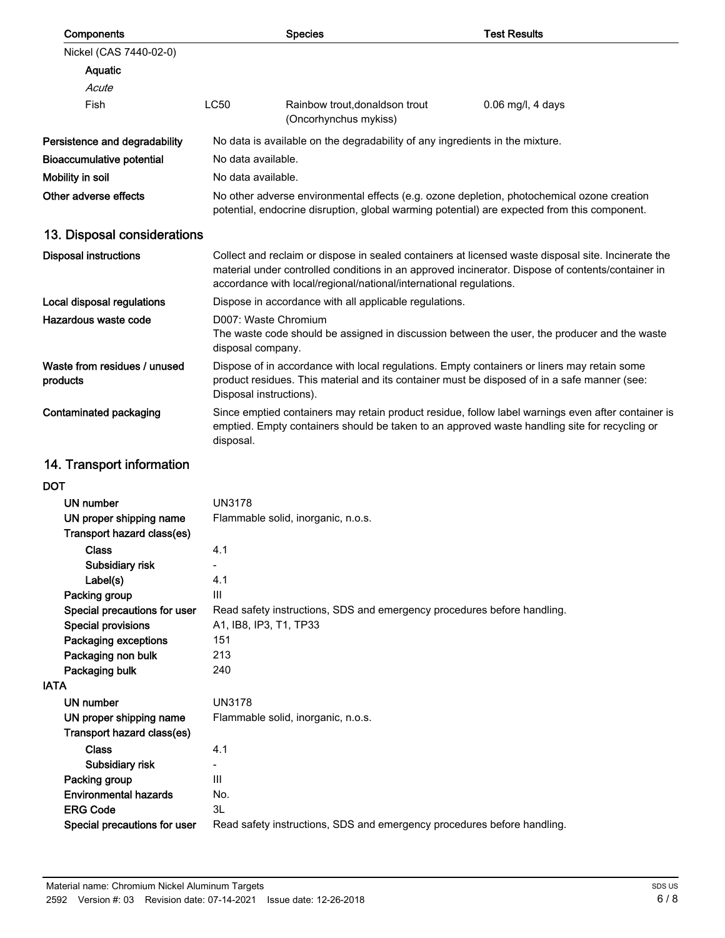| Components                                            |                                                                                                                                                                                                                                             | <b>Species</b>                                                               | <b>Test Results</b>                                                                                                                                                                                      |
|-------------------------------------------------------|---------------------------------------------------------------------------------------------------------------------------------------------------------------------------------------------------------------------------------------------|------------------------------------------------------------------------------|----------------------------------------------------------------------------------------------------------------------------------------------------------------------------------------------------------|
| Nickel (CAS 7440-02-0)                                |                                                                                                                                                                                                                                             |                                                                              |                                                                                                                                                                                                          |
| Aquatic                                               |                                                                                                                                                                                                                                             |                                                                              |                                                                                                                                                                                                          |
| Acute                                                 |                                                                                                                                                                                                                                             |                                                                              |                                                                                                                                                                                                          |
| Fish                                                  | <b>LC50</b>                                                                                                                                                                                                                                 | Rainbow trout, donaldson trout<br>(Oncorhynchus mykiss)                      | $0.06$ mg/l, 4 days                                                                                                                                                                                      |
| Persistence and degradability                         |                                                                                                                                                                                                                                             | No data is available on the degradability of any ingredients in the mixture. |                                                                                                                                                                                                          |
| <b>Bioaccumulative potential</b>                      | No data available.                                                                                                                                                                                                                          |                                                                              |                                                                                                                                                                                                          |
| Mobility in soil                                      | No data available.                                                                                                                                                                                                                          |                                                                              |                                                                                                                                                                                                          |
| Other adverse effects                                 |                                                                                                                                                                                                                                             |                                                                              | No other adverse environmental effects (e.g. ozone depletion, photochemical ozone creation<br>potential, endocrine disruption, global warming potential) are expected from this component.               |
| 13. Disposal considerations                           |                                                                                                                                                                                                                                             |                                                                              |                                                                                                                                                                                                          |
| <b>Disposal instructions</b>                          |                                                                                                                                                                                                                                             | accordance with local/regional/national/international regulations.           | Collect and reclaim or dispose in sealed containers at licensed waste disposal site. Incinerate the<br>material under controlled conditions in an approved incinerator. Dispose of contents/container in |
| Local disposal regulations                            |                                                                                                                                                                                                                                             | Dispose in accordance with all applicable regulations.                       |                                                                                                                                                                                                          |
| Hazardous waste code                                  | D007: Waste Chromium<br>The waste code should be assigned in discussion between the user, the producer and the waste                                                                                                                        |                                                                              |                                                                                                                                                                                                          |
| Waste from residues / unused<br>products              | disposal company.<br>Dispose of in accordance with local regulations. Empty containers or liners may retain some<br>product residues. This material and its container must be disposed of in a safe manner (see:<br>Disposal instructions). |                                                                              |                                                                                                                                                                                                          |
| Contaminated packaging                                | Since emptied containers may retain product residue, follow label warnings even after container is<br>emptied. Empty containers should be taken to an approved waste handling site for recycling or<br>disposal.                            |                                                                              |                                                                                                                                                                                                          |
| 14. Transport information                             |                                                                                                                                                                                                                                             |                                                                              |                                                                                                                                                                                                          |
| <b>DOT</b>                                            |                                                                                                                                                                                                                                             |                                                                              |                                                                                                                                                                                                          |
| <b>UN number</b>                                      | <b>UN3178</b>                                                                                                                                                                                                                               |                                                                              |                                                                                                                                                                                                          |
| UN proper shipping name<br>Transport hazard class(es) |                                                                                                                                                                                                                                             | Flammable solid, inorganic, n.o.s.                                           |                                                                                                                                                                                                          |
| <b>Class</b>                                          | 4.1                                                                                                                                                                                                                                         |                                                                              |                                                                                                                                                                                                          |
| Subsidiary risk                                       |                                                                                                                                                                                                                                             |                                                                              |                                                                                                                                                                                                          |
| Label(s)                                              | 4.1                                                                                                                                                                                                                                         |                                                                              |                                                                                                                                                                                                          |
| Packing group<br>Special precautions for user         | Ш                                                                                                                                                                                                                                           | Read safety instructions, SDS and emergency procedures before handling.      |                                                                                                                                                                                                          |
| <b>Special provisions</b>                             | A1, IB8, IP3, T1, TP33                                                                                                                                                                                                                      |                                                                              |                                                                                                                                                                                                          |
| Packaging exceptions                                  | 151                                                                                                                                                                                                                                         |                                                                              |                                                                                                                                                                                                          |
| Packaging non bulk                                    | 213                                                                                                                                                                                                                                         |                                                                              |                                                                                                                                                                                                          |
| Packaging bulk                                        | 240                                                                                                                                                                                                                                         |                                                                              |                                                                                                                                                                                                          |
| <b>IATA</b>                                           |                                                                                                                                                                                                                                             |                                                                              |                                                                                                                                                                                                          |
| <b>UN number</b>                                      | <b>UN3178</b>                                                                                                                                                                                                                               |                                                                              |                                                                                                                                                                                                          |
| UN proper shipping name<br>Transport hazard class(es) |                                                                                                                                                                                                                                             | Flammable solid, inorganic, n.o.s.                                           |                                                                                                                                                                                                          |
| <b>Class</b>                                          | 4.1                                                                                                                                                                                                                                         |                                                                              |                                                                                                                                                                                                          |
| Subsidiary risk                                       |                                                                                                                                                                                                                                             |                                                                              |                                                                                                                                                                                                          |
| Packing group                                         | Ш                                                                                                                                                                                                                                           |                                                                              |                                                                                                                                                                                                          |
| <b>Environmental hazards</b>                          | No.                                                                                                                                                                                                                                         |                                                                              |                                                                                                                                                                                                          |
| <b>ERG Code</b>                                       | 3L                                                                                                                                                                                                                                          |                                                                              |                                                                                                                                                                                                          |
| Special precautions for user                          |                                                                                                                                                                                                                                             | Read safety instructions, SDS and emergency procedures before handling.      |                                                                                                                                                                                                          |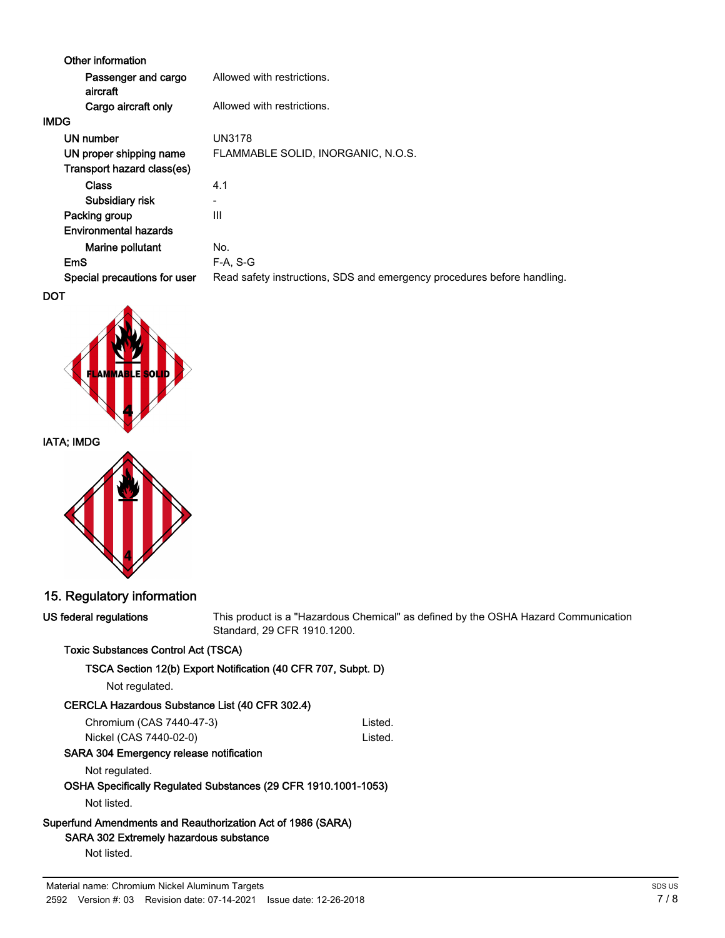| Other information               |                                                                         |
|---------------------------------|-------------------------------------------------------------------------|
| Passenger and cargo<br>aircraft | Allowed with restrictions.                                              |
| Cargo aircraft only             | Allowed with restrictions.                                              |
| <b>IMDG</b>                     |                                                                         |
| UN number                       | UN3178                                                                  |
| UN proper shipping name         | FLAMMABLE SOLID, INORGANIC, N.O.S.                                      |
| Transport hazard class(es)      |                                                                         |
| <b>Class</b>                    | 4.1                                                                     |
| Subsidiary risk                 |                                                                         |
| Packing group                   | Ш                                                                       |
| <b>Environmental hazards</b>    |                                                                         |
| Marine pollutant                | No.                                                                     |
| EmS                             | $F-A. S-G$                                                              |
| Special precautions for user    | Read safety instructions, SDS and emergency procedures before handling. |
| <b>DOT</b>                      |                                                                         |





# IATA; IMDG



# 15. Regulatory information

| US federal regulations                                                                                                 | This product is a "Hazardous Chemical" as defined by the OSHA Hazard Communication<br>Standard, 29 CFR 1910.1200. |         |  |
|------------------------------------------------------------------------------------------------------------------------|-------------------------------------------------------------------------------------------------------------------|---------|--|
| <b>Toxic Substances Control Act (TSCA)</b>                                                                             |                                                                                                                   |         |  |
|                                                                                                                        | TSCA Section 12(b) Export Notification (40 CFR 707, Subpt. D)                                                     |         |  |
| Not regulated.                                                                                                         |                                                                                                                   |         |  |
| CERCLA Hazardous Substance List (40 CFR 302.4)                                                                         |                                                                                                                   |         |  |
| Chromium (CAS 7440-47-3)                                                                                               |                                                                                                                   | Listed. |  |
| Nickel (CAS 7440-02-0)                                                                                                 |                                                                                                                   | Listed. |  |
| SARA 304 Emergency release notification                                                                                |                                                                                                                   |         |  |
| Not regulated.                                                                                                         |                                                                                                                   |         |  |
|                                                                                                                        | OSHA Specifically Regulated Substances (29 CFR 1910.1001-1053)                                                    |         |  |
| Not listed.                                                                                                            |                                                                                                                   |         |  |
| Superfund Amendments and Reauthorization Act of 1986 (SARA)<br>SARA 302 Extremely hazardous substance                  |                                                                                                                   |         |  |
| Not listed.                                                                                                            |                                                                                                                   |         |  |
| Material name: Chromium Nickel Aluminum Targets<br>2592 Version #: 03 Revision date: 07-14-2021 Issue date: 12-26-2018 |                                                                                                                   |         |  |